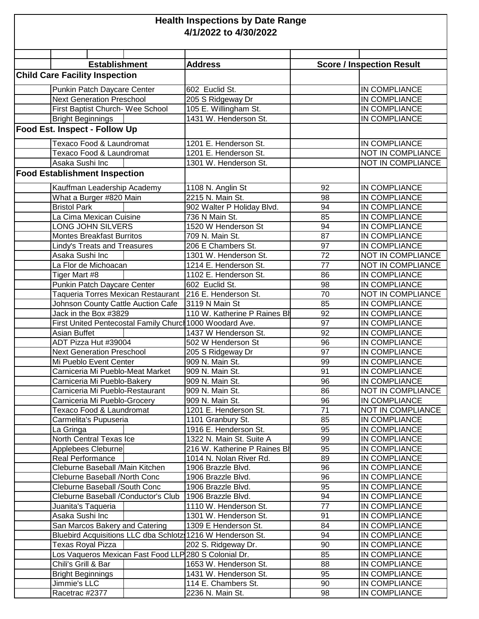## **Health Inspections by Date Range 4/1/2022 to 4/30/2022**

| <b>Establishment</b>                  |                                                            |  | <b>Address</b>               |                 | <b>Score / Inspection Result</b> |  |  |  |  |
|---------------------------------------|------------------------------------------------------------|--|------------------------------|-----------------|----------------------------------|--|--|--|--|
| <b>Child Care Facility Inspection</b> |                                                            |  |                              |                 |                                  |  |  |  |  |
|                                       | Punkin Patch Daycare Center                                |  | 602 Euclid St.               |                 | IN COMPLIANCE                    |  |  |  |  |
|                                       | <b>Next Generation Preschool</b>                           |  | 205 S Ridgeway Dr            |                 | IN COMPLIANCE                    |  |  |  |  |
|                                       | First Baptist Church- Wee School                           |  | 105 E. Willingham St.        |                 | IN COMPLIANCE                    |  |  |  |  |
|                                       | <b>Bright Beginnings</b>                                   |  | 1431 W. Henderson St.        |                 | IN COMPLIANCE                    |  |  |  |  |
| <b>Food Est. Inspect - Follow Up</b>  |                                                            |  |                              |                 |                                  |  |  |  |  |
|                                       | Texaco Food & Laundromat                                   |  | 1201 E. Henderson St.        |                 | IN COMPLIANCE                    |  |  |  |  |
|                                       | Texaco Food & Laundromat                                   |  | 1201 E. Henderson St.        |                 | NOT IN COMPLIANCE                |  |  |  |  |
|                                       | Asaka Sushi Inc                                            |  | 1301 W. Henderson St.        |                 | NOT IN COMPLIANCE                |  |  |  |  |
| <b>Food Establishment Inspection</b>  |                                                            |  |                              |                 |                                  |  |  |  |  |
|                                       | Kauffman Leadership Academy                                |  | 1108 N. Anglin St            | 92              | IN COMPLIANCE                    |  |  |  |  |
|                                       | What a Burger #820 Main                                    |  | 2215 N. Main St.             | 98              | IN COMPLIANCE                    |  |  |  |  |
|                                       | <b>Bristol Park</b>                                        |  | 902 Walter P Holiday Blvd.   | 94              | IN COMPLIANCE                    |  |  |  |  |
|                                       | La Cima Mexican Cuisine                                    |  | 736 N Main St.               | 85              | IN COMPLIANCE                    |  |  |  |  |
|                                       | LONG JOHN SILVERS                                          |  | 1520 W Henderson St          | 94              | IN COMPLIANCE                    |  |  |  |  |
|                                       | <b>Montes Breakfast Burritos</b>                           |  | 709 N. Main St.              | 87              | IN COMPLIANCE                    |  |  |  |  |
|                                       | Lindy's Treats and Treasures                               |  | 206 E Chambers St.           | 97              | IN COMPLIANCE                    |  |  |  |  |
|                                       | Asaka Sushi Inc                                            |  | 1301 W. Henderson St.        | 72              | NOT IN COMPLIANCE                |  |  |  |  |
|                                       | La Flor de Michoacan                                       |  | 1214 E. Henderson St.        | 77              | NOT IN COMPLIANCE                |  |  |  |  |
|                                       | Tiger Mart #8                                              |  | 1102 E. Henderson St.        | 86              | IN COMPLIANCE                    |  |  |  |  |
|                                       | Punkin Patch Daycare Center                                |  | 602 Euclid St.               | 98              | IN COMPLIANCE                    |  |  |  |  |
|                                       | Taqueria Torres Mexican Restaurant                         |  | 216 E. Henderson St.         | $\overline{70}$ | NOT IN COMPLIANCE                |  |  |  |  |
|                                       | Johnson County Cattle Auction Cafe                         |  | 3119 N Main St               | 85              | IN COMPLIANCE                    |  |  |  |  |
|                                       | Jack in the Box #3829                                      |  | 110 W. Katherine P Raines Bl | 92              | IN COMPLIANCE                    |  |  |  |  |
|                                       | First United Pentecostal Family Churci 1000 Woodard Ave.   |  |                              | 97              | IN COMPLIANCE                    |  |  |  |  |
|                                       | Asian Buffet                                               |  | 1437 W Henderson St.         | 92              | IN COMPLIANCE                    |  |  |  |  |
|                                       | ADT Pizza Hut #39004                                       |  | 502 W Henderson St           | 96              | IN COMPLIANCE                    |  |  |  |  |
|                                       | <b>Next Generation Preschool</b>                           |  | 205 S Ridgeway Dr            | 97              | IN COMPLIANCE                    |  |  |  |  |
|                                       | Mi Pueblo Event Center                                     |  | 909 N. Main St.              | 99              | IN COMPLIANCE                    |  |  |  |  |
|                                       | Carniceria Mi Pueblo-Meat Market                           |  | 909 N. Main St.              | 91              | IN COMPLIANCE                    |  |  |  |  |
|                                       | Carniceria Mi Pueblo-Bakery                                |  | 909 N. Main St.              | 96              | IN COMPLIANCE                    |  |  |  |  |
|                                       | Carniceria Mi Pueblo-Restaurant                            |  | 909 N. Main St.              | 86              | <b>NOT IN COMPLIANCE</b>         |  |  |  |  |
|                                       | Carniceria Mi Pueblo-Grocery                               |  | 909 N. Main St.              | 96              | IN COMPLIANCE                    |  |  |  |  |
|                                       | Texaco Food & Laundromat                                   |  | 1201 E. Henderson St.        | 71              | NOT IN COMPLIANCE                |  |  |  |  |
|                                       | Carmelita's Pupuseria                                      |  | 1101 Granbury St.            | 85              | IN COMPLIANCE                    |  |  |  |  |
|                                       | La Gringa                                                  |  | 1916 E. Henderson St.        | 95              | IN COMPLIANCE                    |  |  |  |  |
|                                       | North Central Texas Ice                                    |  | 1322 N. Main St. Suite A     | 99              | IN COMPLIANCE                    |  |  |  |  |
|                                       | Applebees Cleburne                                         |  | 216 W. Katherine P Raines Bl | 95              | IN COMPLIANCE                    |  |  |  |  |
|                                       | Real Performance                                           |  | 1014 N. Nolan River Rd.      | 89              | IN COMPLIANCE                    |  |  |  |  |
|                                       | Cleburne Baseball /Main Kitchen                            |  | 1906 Brazzle Blvd.           | 96              | IN COMPLIANCE                    |  |  |  |  |
|                                       | Cleburne Baseball /North Conc                              |  | 1906 Brazzle Blvd.           | 96              | IN COMPLIANCE                    |  |  |  |  |
|                                       | Cleburne Baseball /South Conc                              |  | 1906 Brazzle Blvd.           | 95              | IN COMPLIANCE                    |  |  |  |  |
|                                       | Cleburne Baseball / Conductor's Club                       |  | 1906 Brazzle Blvd.           | 94              | IN COMPLIANCE                    |  |  |  |  |
|                                       | Juanita's Taqueria                                         |  | 1110 W. Henderson St.        | 77              | IN COMPLIANCE                    |  |  |  |  |
|                                       | Asaka Sushi Inc                                            |  | 1301 W. Henderson St.        | 91              | IN COMPLIANCE                    |  |  |  |  |
|                                       | San Marcos Bakery and Catering                             |  | 1309 E Henderson St.         | 84              | IN COMPLIANCE                    |  |  |  |  |
|                                       | Bluebird Acquisitions LLC dba Schlotz 1216 W Henderson St. |  |                              | 94              | IN COMPLIANCE                    |  |  |  |  |
|                                       | Texas Royal Pizza                                          |  | 202 S. Ridgeway Dr.          | 90              | IN COMPLIANCE                    |  |  |  |  |
|                                       | Los Vaqueros Mexican Fast Food LLP 280 S Colonial Dr.      |  |                              | 85              | IN COMPLIANCE                    |  |  |  |  |
|                                       | Chili's Grill & Bar                                        |  | 1653 W. Henderson St.        | 88              | IN COMPLIANCE                    |  |  |  |  |
|                                       | <b>Bright Beginnings</b>                                   |  | 1431 W. Henderson St.        | 95              | IN COMPLIANCE                    |  |  |  |  |
|                                       | Jimmie's LLC                                               |  | 114 E. Chambers St.          | 90              | IN COMPLIANCE                    |  |  |  |  |
|                                       | Racetrac #2377                                             |  | 2236 N. Main St.             | 98              | IN COMPLIANCE                    |  |  |  |  |